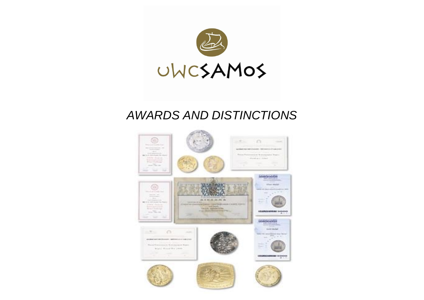

# *AWARDS AND DISTINCTIONS*

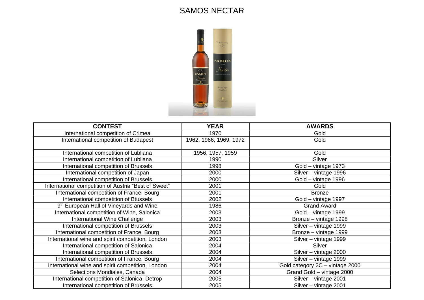#### SAMOS NECTAR



| <b>CONTEST</b>                                       | <b>YEAR</b>            | <b>AWARDS</b>                   |
|------------------------------------------------------|------------------------|---------------------------------|
| International competition of Crimea                  | 1970                   | Gold                            |
| International competition of Budapest                | 1962, 1966, 1969, 1972 | Gold                            |
|                                                      |                        |                                 |
| International competition of Lubliana                | 1956, 1957, 1959       | Gold                            |
| International competition of Lubliana                | 1990                   | Silver                          |
| International competition of Brussels                | 1998                   | Gold - vintage 1973             |
| International competition of Japan                   | 2000                   | Silver - vintage 1996           |
| International competition of Brussels                | 2000                   | Gold - vintage 1996             |
| International competition of Austria "Best of Sweet" | 2001                   | Gold                            |
| International competition of France, Bourg           | 2001                   | <b>Bronze</b>                   |
| International competition of Btussels                | 2002                   | Gold - vintage 1997             |
| 9 <sup>th</sup> European Hall of Vineyards and Wine  | 1986                   | <b>Grand Award</b>              |
| International competition of Wine, Salonica          | 2003                   | Gold - vintage 1999             |
| International Wine Challenge                         | 2003                   | Bronze - vintage 1998           |
| International competition of Brussels                | 2003                   | Silver - vintage 1999           |
| International competition of France, Bourg           | 2003                   | Bronze - vintage 1999           |
| International wine and spirit competition, London    | 2003                   | Silver - vintage 1999           |
| International competition of Salonica                | 2004                   | Silver                          |
| International competition of Brussels                | 2004                   | Silver - vintage 2000           |
| International competition of France, Bourg           | 2004                   | Silver - vintage 1999           |
| International wine and spirit competition, London    | 2004                   | Gold category 2C - vintage 2000 |
| Selections Mondiales, Canada                         | 2004                   | Grand Gold - vintage 2000       |
| International competition of Salonica, Detrop        | 2005                   | Silver - vintage 2001           |
| International competition of Brussels                | 2005                   | Silver - vintage 2001           |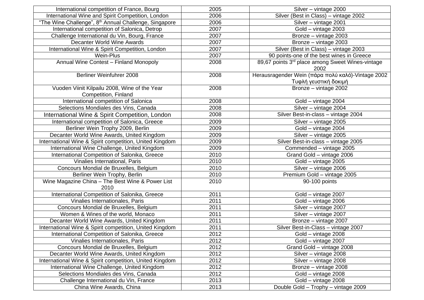| International competition of France, Bourg                        | 2005 | Silver - vintage 2000                             |
|-------------------------------------------------------------------|------|---------------------------------------------------|
| International Wine and Spirit Competition, London                 | 2006 | Silver (Best in Class) - vintage 2002             |
| "The Wine Challenge", 8 <sup>th</sup> Annual Challenge, Singapore | 2006 | Silver - vintage 2001                             |
| International competition of Salonica, Detrop                     | 2007 | Gold - vintage 2003                               |
| Challenge International du Vin, Bourg, France                     | 2007 | Bronze - vintage 2003                             |
| <b>Decanter World Wine Awards</b>                                 | 2007 | Bronze - vintage 2003                             |
| International Wine & Spirit Competition, London                   | 2007 | Silver (Best in Class) - vintage 2003             |
| Wein-Plus                                                         | 2007 | 90 points-one of the best wines in Greece         |
| Annual Wine Contest - Finland Monopoly                            | 2008 | 89,67 points 3rd place among Sweet Wines-vintage  |
|                                                                   |      | 2002                                              |
| Berliner Weinfuhrer 2008                                          | 2008 | Herausragender Wein (πάρα πολύ καλό)-Vintage 2002 |
|                                                                   |      | Τυφλή γευστική δοκιμή                             |
| Vuoden Viinit Kilpailu 2008, Wine of the Year                     | 2008 | Bronze - vintage 2002                             |
| Competition, Finland                                              |      |                                                   |
| International competition of Salonica                             | 2008 | Gold - vintage 2004                               |
| Selections Mondiales des Vins, Canada                             | 2008 | Silver - vintage 2004                             |
| International Wine & Spirit Competition, London                   | 2008 | Silver Best-in-class - vintage 2004               |
| International competition of Salonica, Greece                     | 2009 | Silver - vintage 2005                             |
| Berliner Wein Trophy 2009, Berlin                                 | 2009 | Gold - vintage 2004                               |
| Decanter World Wine Awards, United Kingdom                        | 2009 | Silver - vintage 2005                             |
| International Wine & Spirit competition, United Kingdom           | 2009 | Silver Best-in-class - vintage 2005               |
| International Wine Challenge, United Kingdom                      | 2009 | Commended - vintage 2005                          |
| International Competition of Salonika, Greece                     | 2010 | Grand Gold - vintage 2006                         |
| Vinalies International, Paris                                     | 2010 | Gold - vintage 2005                               |
| Concours Mondial de Bruxelles, Belgium                            | 2010 | Silver - vintage 2006                             |
| Berliner Wein Trophy, Berlin                                      | 2010 | Premium Gold - vintage 2005                       |
| Wine Magazine China - The Best Wine & Power List                  | 2010 | 90-100 points                                     |
| 2010                                                              |      |                                                   |
| International Competition of Salonika, Greece                     | 2011 | Gold - vintage 2007                               |
| Vinalies Internationales, Paris                                   | 2011 | Gold - vintage 2006                               |
| Concours Mondial de Bruxelles, Belgium                            | 2011 | Silver - vintage 2007                             |
| Women & Wines of the world, Monaco                                | 2011 | Silver - vintage 2007                             |
| Decanter World Wine Awards, United Kingdom                        | 2011 | Bronze - vintage 2007                             |
| International Wine & Spirit competition, United Kingdom           | 2011 | Silver Best-in-Class - vintage 2007               |
| International Competition of Salonika, Greece                     | 2012 | Gold - vintage 2008                               |
| Vinalies Internationales, Paris                                   | 2012 | Gold - vintage 2007                               |
| Concours Mondial de Bruxelles, Belgium                            | 2012 | Grand Gold - vintage 2008                         |
| Decanter World Wine Awards, United Kingdom                        | 2012 | Silver - vintage 2008                             |
| International Wine & Spirit competition, United Kingdom           | 2012 | Silver - vintage 2008                             |
| International Wine Challenge, United Kingdom                      | 2012 | Bronze - vintage 2008                             |
| Selections Mondiales des Vins, Canada                             | 2012 | Gold - vintage 2008                               |
| Challenge International du Vin, France                            | 2013 | Gold - vintage 2008                               |
| China Wine Awards, China                                          | 2013 | Double Gold - Trophy - vintage 2009               |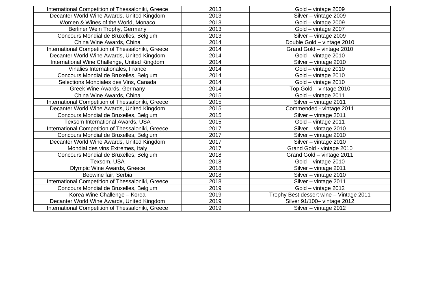| International Competition of Thessaloniki, Greece | 2013 | Gold - vintage 2009                     |
|---------------------------------------------------|------|-----------------------------------------|
| Decanter World Wine Awards, United Kingdom        | 2013 | Silver - vintage 2009                   |
| Women & Wines of the World, Monaco                | 2013 | Gold - vintage 2009                     |
| Berliner Wein Trophy, Germany                     | 2013 | Gold - vintage 2007                     |
| Concours Mondial de Bruxelles, Belgium            | 2013 | Silver - vintage 2009                   |
| China Wine Awards, China                          | 2014 | Double Gold - vintage 2010              |
| International Competition of Thessaloniki, Greece | 2014 | Grand Gold - vintage 2010               |
| Decanter World Wine Awards, United Kingdom        | 2014 | Gold - vintage 2010                     |
| International Wine Challenge, United Kingdom      | 2014 | Silver - vintage 2010                   |
| Vinalies Internationales, France                  | 2014 | Gold - vintage 2010                     |
| Concours Mondial de Bruxelles, Belgium            | 2014 | Gold - vintage 2010                     |
| Selections Mondiales des Vins, Canada             | 2014 | Gold - vintage 2010                     |
| Greek Wine Awards, Germany                        | 2014 | Top Gold - vintage 2010                 |
| China Wine Awards, China                          | 2015 | Gold - vintage 2011                     |
| International Competition of Thessaloniki, Greece | 2015 | Silver - vintage 2011                   |
| Decanter World Wine Awards, United Kingdom        | 2015 | Commended - vintage 2011                |
| Concours Mondial de Bruxelles, Belgium            | 2015 | Silver - vintage 2011                   |
| <b>Texsom International Awards, USA</b>           | 2015 | Gold - vintage 2011                     |
| International Competition of Thessaloniki, Greece | 2017 | Silver - vintage 2010                   |
| Concours Mondial de Bruxelles, Belgium            | 2017 | Silver - vintage 2010                   |
| Decanter World Wine Awards, United Kingdom        | 2017 | Silver - vintage 2010                   |
| Mondial des vins Extremes, Italy                  | 2017 | Grand Gold - vintage 2010               |
| Concours Mondial de Bruxelles, Belgium            | 2018 | Grand Gold - vintage 2011               |
| Texsom, USA                                       | 2018 | Gold - vintage 2010                     |
| <b>Olympic Wine Awards, Greece</b>                | 2018 | Silver - vintage 2011                   |
| Beowine fair, Serbia                              | 2018 | Silver - vintage 2010                   |
| International Competition of Thessaloniki, Greece | 2018 | Silver - vintage 2011                   |
| Concours Mondial de Bruxelles, Belgium            | 2019 | Gold - vintage 2012                     |
| Korea Wine Challenge - Korea                      | 2019 | Trophy Best dessert wine - Vintage 2011 |
| Decanter World Wine Awards, United Kingdom        | 2019 | Silver 91/100- vintage 2012             |
| International Competition of Thessaloniki, Greece | 2019 | Silver - vintage 2012                   |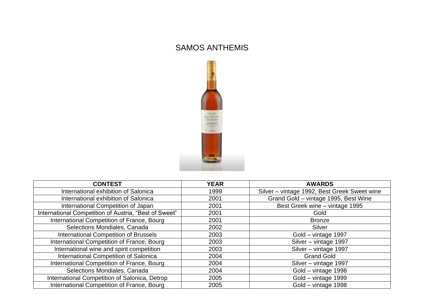## SAMOS ANTHEMIS



| <b>CONTEST</b>                                        | <b>YEAR</b> | <b>AWARDS</b>                                |
|-------------------------------------------------------|-------------|----------------------------------------------|
| International exhibition of Salonica                  | 1999        | Silver - vintage 1992, Best Greek Sweet wine |
| International exhibition of Salonica                  | 2001        | Grand Gold - vintage 1995, Best Wine         |
| International Competition of Japan                    | 2001        | Best Greek wine - vintage 1995               |
| International Competition of Austria, "Best of Sweet" | 2001        | Gold                                         |
| International Competition of France, Bourg            | 2001        | <b>Bronze</b>                                |
| Selections Mondiales, Canada                          | 2002        | Silver                                       |
| <b>International Competition of Brussels</b>          | 2003        | Gold - vintage 1997                          |
| International Competition of France, Bourg            | 2003        | Silver - vintage 1997                        |
| International wine and spirit competition             | 2003        | Silver - vintage 1997                        |
| International Competition of Salonica                 | 2004        | <b>Grand Gold</b>                            |
| International Competition of France, Bourg            | 2004        | Silver - vintage 1997                        |
| Selections Mondiales, Canada                          | 2004        | Gold - vintage 1998                          |
| International Competition of Salonica, Detrop         | 2005        | Gold - vintage 1999                          |
| International Competition of France, Bourg            | 2005        | Gold - vintage 1998                          |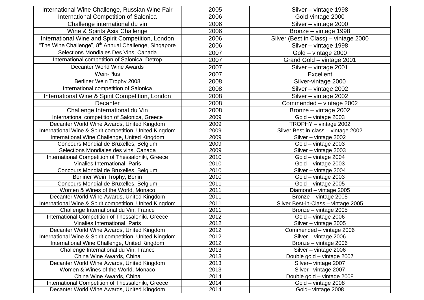| International Competition of Salonica<br>2006<br>Gold-vintage 2000<br>Challenge international du vin<br>2006<br>Silver - vintage 2000<br>2006<br>Wine & Spirits Asia Challenge<br>Bronze – vintage 1998<br>International Wine and Spirit Competition, London<br>2006<br>Silver (Best in Class) – vintage 2000<br>"The Wine Challenge", 8 <sup>th</sup> Annual Challenge, Singapore<br>2006<br>Silver - vintage 1998<br>Selections Mondiales Des Vins, Canada<br>2007<br>Gold - vintage 2000<br>International competition of Salonica, Detrop<br>2007<br>Grand Gold - vintage 2001<br><b>Decanter World Wine Awards</b><br>2007<br>Silver - vintage 2001<br>Wein-Plus<br>Excellent<br>2007<br>Berliner Wein Trophy 2008<br>2008<br>Silver-vintage 2000<br>International competition of Salonica<br>2008<br>Silver - vintage 2002<br>International Wine & Spirit Competition, London<br>2008<br>Silver - vintage 2002<br>2008<br>Decanter<br>Commended - vintage 2002<br>Challenge International du Vin<br>2008<br>Bronze - vintage 2002<br>International competition of Salonica, Greece<br>2009<br>Gold - vintage 2003<br>Decanter World Wine Awards, United Kingdom<br>2009<br>TROPHY - vintage 2002 | International Wine Challenge, Russian Wine Fair | 2005 | Silver – vintage 1998 |
|-------------------------------------------------------------------------------------------------------------------------------------------------------------------------------------------------------------------------------------------------------------------------------------------------------------------------------------------------------------------------------------------------------------------------------------------------------------------------------------------------------------------------------------------------------------------------------------------------------------------------------------------------------------------------------------------------------------------------------------------------------------------------------------------------------------------------------------------------------------------------------------------------------------------------------------------------------------------------------------------------------------------------------------------------------------------------------------------------------------------------------------------------------------------------------------------------------|-------------------------------------------------|------|-----------------------|
|                                                                                                                                                                                                                                                                                                                                                                                                                                                                                                                                                                                                                                                                                                                                                                                                                                                                                                                                                                                                                                                                                                                                                                                                       |                                                 |      |                       |
|                                                                                                                                                                                                                                                                                                                                                                                                                                                                                                                                                                                                                                                                                                                                                                                                                                                                                                                                                                                                                                                                                                                                                                                                       |                                                 |      |                       |
|                                                                                                                                                                                                                                                                                                                                                                                                                                                                                                                                                                                                                                                                                                                                                                                                                                                                                                                                                                                                                                                                                                                                                                                                       |                                                 |      |                       |
|                                                                                                                                                                                                                                                                                                                                                                                                                                                                                                                                                                                                                                                                                                                                                                                                                                                                                                                                                                                                                                                                                                                                                                                                       |                                                 |      |                       |
|                                                                                                                                                                                                                                                                                                                                                                                                                                                                                                                                                                                                                                                                                                                                                                                                                                                                                                                                                                                                                                                                                                                                                                                                       |                                                 |      |                       |
|                                                                                                                                                                                                                                                                                                                                                                                                                                                                                                                                                                                                                                                                                                                                                                                                                                                                                                                                                                                                                                                                                                                                                                                                       |                                                 |      |                       |
|                                                                                                                                                                                                                                                                                                                                                                                                                                                                                                                                                                                                                                                                                                                                                                                                                                                                                                                                                                                                                                                                                                                                                                                                       |                                                 |      |                       |
|                                                                                                                                                                                                                                                                                                                                                                                                                                                                                                                                                                                                                                                                                                                                                                                                                                                                                                                                                                                                                                                                                                                                                                                                       |                                                 |      |                       |
|                                                                                                                                                                                                                                                                                                                                                                                                                                                                                                                                                                                                                                                                                                                                                                                                                                                                                                                                                                                                                                                                                                                                                                                                       |                                                 |      |                       |
|                                                                                                                                                                                                                                                                                                                                                                                                                                                                                                                                                                                                                                                                                                                                                                                                                                                                                                                                                                                                                                                                                                                                                                                                       |                                                 |      |                       |
|                                                                                                                                                                                                                                                                                                                                                                                                                                                                                                                                                                                                                                                                                                                                                                                                                                                                                                                                                                                                                                                                                                                                                                                                       |                                                 |      |                       |
|                                                                                                                                                                                                                                                                                                                                                                                                                                                                                                                                                                                                                                                                                                                                                                                                                                                                                                                                                                                                                                                                                                                                                                                                       |                                                 |      |                       |
|                                                                                                                                                                                                                                                                                                                                                                                                                                                                                                                                                                                                                                                                                                                                                                                                                                                                                                                                                                                                                                                                                                                                                                                                       |                                                 |      |                       |
|                                                                                                                                                                                                                                                                                                                                                                                                                                                                                                                                                                                                                                                                                                                                                                                                                                                                                                                                                                                                                                                                                                                                                                                                       |                                                 |      |                       |
|                                                                                                                                                                                                                                                                                                                                                                                                                                                                                                                                                                                                                                                                                                                                                                                                                                                                                                                                                                                                                                                                                                                                                                                                       |                                                 |      |                       |
|                                                                                                                                                                                                                                                                                                                                                                                                                                                                                                                                                                                                                                                                                                                                                                                                                                                                                                                                                                                                                                                                                                                                                                                                       |                                                 |      |                       |
|                                                                                                                                                                                                                                                                                                                                                                                                                                                                                                                                                                                                                                                                                                                                                                                                                                                                                                                                                                                                                                                                                                                                                                                                       |                                                 |      |                       |
| 2009<br>International Wine & Spirit competition, United Kingdom<br>Silver Best-in-class - vintage 2002                                                                                                                                                                                                                                                                                                                                                                                                                                                                                                                                                                                                                                                                                                                                                                                                                                                                                                                                                                                                                                                                                                |                                                 |      |                       |
| International Wine Challenge, United Kingdom<br>2009<br>Silver - vintage 2002                                                                                                                                                                                                                                                                                                                                                                                                                                                                                                                                                                                                                                                                                                                                                                                                                                                                                                                                                                                                                                                                                                                         |                                                 |      |                       |
| Concours Mondial de Bruxelles, Belgium<br>2009<br>Gold - vintage 2003                                                                                                                                                                                                                                                                                                                                                                                                                                                                                                                                                                                                                                                                                                                                                                                                                                                                                                                                                                                                                                                                                                                                 |                                                 |      |                       |
| 2009<br>Selections Mondiales des vins, Canada<br>Silver - vintage 2003                                                                                                                                                                                                                                                                                                                                                                                                                                                                                                                                                                                                                                                                                                                                                                                                                                                                                                                                                                                                                                                                                                                                |                                                 |      |                       |
| International Competition of Thessaloniki, Greece<br>2010<br>Gold - vintage 2004                                                                                                                                                                                                                                                                                                                                                                                                                                                                                                                                                                                                                                                                                                                                                                                                                                                                                                                                                                                                                                                                                                                      |                                                 |      |                       |
| Vinalies International, Paris<br>2010<br>Gold - vintage 2003                                                                                                                                                                                                                                                                                                                                                                                                                                                                                                                                                                                                                                                                                                                                                                                                                                                                                                                                                                                                                                                                                                                                          |                                                 |      |                       |
| Concours Mondial de Bruxelles, Belgium<br>2010<br>Silver - vintage 2004                                                                                                                                                                                                                                                                                                                                                                                                                                                                                                                                                                                                                                                                                                                                                                                                                                                                                                                                                                                                                                                                                                                               |                                                 |      |                       |
| 2010<br>Berliner Wein Trophy, Berlin<br>Gold - vintage 2003                                                                                                                                                                                                                                                                                                                                                                                                                                                                                                                                                                                                                                                                                                                                                                                                                                                                                                                                                                                                                                                                                                                                           |                                                 |      |                       |
| 2011<br>Concours Mondial de Bruxelles, Belgium<br>Gold - vintage 2005                                                                                                                                                                                                                                                                                                                                                                                                                                                                                                                                                                                                                                                                                                                                                                                                                                                                                                                                                                                                                                                                                                                                 |                                                 |      |                       |
| Women & Wines of the World, Monaco<br>2011<br>Diamond - vintage 2005                                                                                                                                                                                                                                                                                                                                                                                                                                                                                                                                                                                                                                                                                                                                                                                                                                                                                                                                                                                                                                                                                                                                  |                                                 |      |                       |
| Decanter World Wine Awards, United Kingdom<br>2011<br>Bronze - vintage 2005                                                                                                                                                                                                                                                                                                                                                                                                                                                                                                                                                                                                                                                                                                                                                                                                                                                                                                                                                                                                                                                                                                                           |                                                 |      |                       |
| Silver Best-in-Class - vintage 2005<br>International Wine & Spirit competition, United Kingdom<br>2011                                                                                                                                                                                                                                                                                                                                                                                                                                                                                                                                                                                                                                                                                                                                                                                                                                                                                                                                                                                                                                                                                                |                                                 |      |                       |
| Challenge International du Vin, France<br>2011<br>Bronze - vintage 2005                                                                                                                                                                                                                                                                                                                                                                                                                                                                                                                                                                                                                                                                                                                                                                                                                                                                                                                                                                                                                                                                                                                               |                                                 |      |                       |
| 2012<br>International Competition of Thessaloniki, Greece<br>Gold - vintage 2006<br>Vinalies International, Paris                                                                                                                                                                                                                                                                                                                                                                                                                                                                                                                                                                                                                                                                                                                                                                                                                                                                                                                                                                                                                                                                                     |                                                 |      |                       |
| 2012<br>Silver - vintage 2005                                                                                                                                                                                                                                                                                                                                                                                                                                                                                                                                                                                                                                                                                                                                                                                                                                                                                                                                                                                                                                                                                                                                                                         |                                                 |      |                       |
| 2012<br>Decanter World Wine Awards, United Kingdom<br>Commended - vintage 2006<br>International Wine & Spirit competition, United Kingdom<br>2012                                                                                                                                                                                                                                                                                                                                                                                                                                                                                                                                                                                                                                                                                                                                                                                                                                                                                                                                                                                                                                                     |                                                 |      |                       |
| Silver - vintage 2006<br>International Wine Challenge, United Kingdom<br>2012<br>Bronze - vintage 2006                                                                                                                                                                                                                                                                                                                                                                                                                                                                                                                                                                                                                                                                                                                                                                                                                                                                                                                                                                                                                                                                                                |                                                 |      |                       |
| Challenge International du Vin, France<br>2013<br>Silver - vintage 2006                                                                                                                                                                                                                                                                                                                                                                                                                                                                                                                                                                                                                                                                                                                                                                                                                                                                                                                                                                                                                                                                                                                               |                                                 |      |                       |
| 2013<br>China Wine Awards, China<br>Double gold - vintage 2007                                                                                                                                                                                                                                                                                                                                                                                                                                                                                                                                                                                                                                                                                                                                                                                                                                                                                                                                                                                                                                                                                                                                        |                                                 |      |                       |
| 2013<br>Decanter World Wine Awards, United Kingdom<br>Silver-vintage 2007                                                                                                                                                                                                                                                                                                                                                                                                                                                                                                                                                                                                                                                                                                                                                                                                                                                                                                                                                                                                                                                                                                                             |                                                 |      |                       |
| 2013<br>Women & Wines of the World, Monaco<br>Silver- vintage 2007                                                                                                                                                                                                                                                                                                                                                                                                                                                                                                                                                                                                                                                                                                                                                                                                                                                                                                                                                                                                                                                                                                                                    |                                                 |      |                       |
| China Wine Awards, China<br>2014<br>Double gold - vintage 2008                                                                                                                                                                                                                                                                                                                                                                                                                                                                                                                                                                                                                                                                                                                                                                                                                                                                                                                                                                                                                                                                                                                                        |                                                 |      |                       |
| International Competition of Thessaloniki, Greece<br>2014<br>Gold - vintage 2008                                                                                                                                                                                                                                                                                                                                                                                                                                                                                                                                                                                                                                                                                                                                                                                                                                                                                                                                                                                                                                                                                                                      |                                                 |      |                       |
| Decanter World Wine Awards, United Kingdom<br>2014<br>Gold-vintage 2008                                                                                                                                                                                                                                                                                                                                                                                                                                                                                                                                                                                                                                                                                                                                                                                                                                                                                                                                                                                                                                                                                                                               |                                                 |      |                       |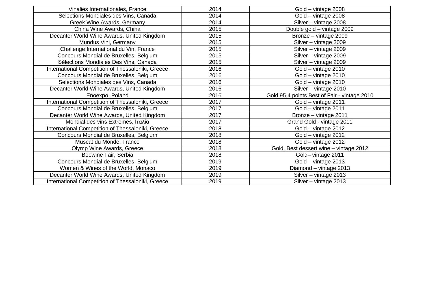| Vinalies Internationales, France                  | 2014 | Gold - vintage 2008                          |
|---------------------------------------------------|------|----------------------------------------------|
| Selections Mondiales des Vins, Canada             | 2014 | Gold - vintage 2008                          |
| Greek Wine Awards, Germany                        | 2014 | Silver - vintage 2008                        |
| China Wine Awards, China                          | 2015 | Double gold - vintage 2009                   |
| Decanter World Wine Awards, United Kingdom        | 2015 | Bronze - vintage 2009                        |
| Mundus Vini, Germany                              | 2015 | Silver - vintage 2009                        |
| Challenge International du Vin, France            | 2015 | Silver - vintage 2009                        |
| Concours Mondial de Bruxelles, Belgium            | 2015 | Silver - vintage 2009                        |
| Sélections Mondiales Des Vins, Canada             | 2015 | Silver - vintage 2009                        |
| International Competition of Thessaloniki, Greece | 2016 | Gold - vintage 2010                          |
| Concours Mondial de Bruxelles, Belgium            | 2016 | Gold – vintage 2010                          |
| Selections Mondiales des Vins, Canada             | 2016 | Gold - vintage 2010                          |
| Decanter World Wine Awards, United Kingdom        | 2016 | Silver - vintage 2010                        |
| Enoexpo, Poland                                   | 2016 | Gold 95,4 points Best of Fair - vintage 2010 |
| International Competition of Thessaloniki, Greece | 2017 | Gold - vintage 2011                          |
| Concours Mondial de Bruxelles, Belgium            | 2017 | Gold - vintage 2011                          |
| Decanter World Wine Awards, United Kingdom        | 2017 | Bronze - vintage 2011                        |
| Mondial des vins Extremes, Ιταλία                 | 2017 | Grand Gold - vintage 2011                    |
| International Competition of Thessaloniki, Greece | 2018 | Gold - vintage 2012                          |
| Concours Mondial de Bruxelles, Belgium            | 2018 | Gold - vintage 2012                          |
| Muscat du Monde, France                           | 2018 | Gold - vintage 2012                          |
| Olymp Wine Awards, Greece                         | 2018 | Gold, Best dessert wine - vintage 2012       |
| Beowine Fair, Serbia                              | 2018 | Gold-vintage 2011                            |
| Concours Mondial de Bruxelles, Belgium            | 2019 | Gold - vintage 2013                          |
| Women & Wines of the World, Monaco                | 2019 | Diamond - vintage 2013                       |
| Decanter World Wine Awards, United Kingdom        | 2019 | Silver - vintage 2013                        |
| International Competition of Thessaloniki, Greece | 2019 | Silver - vintage 2013                        |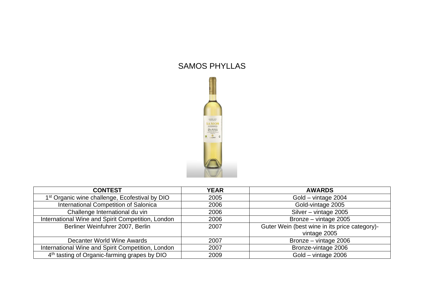#### SAMOS PHYLLAS



| <b>CONTEST</b>                                             | <b>YEAR</b> | <b>AWARDS</b>                                 |
|------------------------------------------------------------|-------------|-----------------------------------------------|
| 1 <sup>st</sup> Organic wine challenge, Ecofestival by DIO | 2005        | Gold - vintage 2004                           |
| International Competition of Salonica                      | 2006        | Gold-vintage 2005                             |
| Challenge International du vin                             | 2006        | Silver - vintage 2005                         |
| International Wine and Spirit Competition, London          | 2006        | Bronze - vintage 2005                         |
| Berliner Weinfuhrer 2007, Berlin                           | 2007        | Guter Wein (best wine in its price category)- |
|                                                            |             | vintage 2005                                  |
| Decanter World Wine Awards                                 | 2007        | Bronze - vintage 2006                         |
| International Wine and Spirit Competition, London          | 2007        | Bronze-vintage 2006                           |
| 4 <sup>th</sup> tasting of Organic-farming grapes by DIO   | 2009        | Gold - vintage 2006                           |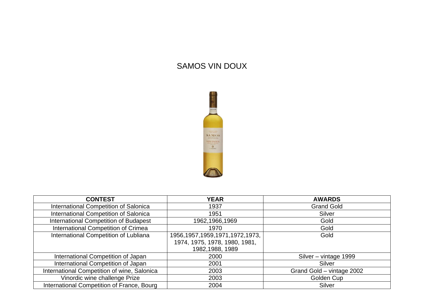#### SAMOS VIN DOUX



| <b>CONTEST</b>                               | <b>YEAR</b>                         | <b>AWARDS</b>             |
|----------------------------------------------|-------------------------------------|---------------------------|
| International Competition of Salonica        | 1937                                | <b>Grand Gold</b>         |
| International Competition of Salonica        | 1951                                | Silver                    |
| <b>International Competition of Budapest</b> | 1962,1966,1969                      | Gold                      |
| International Competition of Crimea          | 1970                                | Gold                      |
| International Competition of Lubliana        | 1956, 1957, 1959, 1971, 1972, 1973, | Gold                      |
|                                              | 1974, 1975, 1978, 1980, 1981,       |                           |
|                                              | 1982, 1988, 1989                    |                           |
| International Competition of Japan           | 2000                                | Silver – vintage 1999     |
| International Competition of Japan           | 2001                                | Silver                    |
| International Competition of wine, Salonica  | 2003                                | Grand Gold - vintage 2002 |
| Vinordic wine challenge Prize                | 2003                                | Golden Cup                |
| International Competition of France, Bourg   | 2004                                | Silver                    |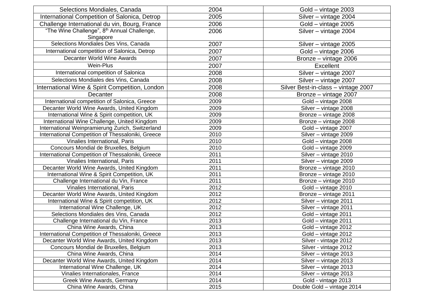| Selections Mondiales, Canada                            | 2004 | Gold - vintage 2003                 |
|---------------------------------------------------------|------|-------------------------------------|
| International Competition of Salonica, Detrop           | 2005 | Silver - vintage 2004               |
| Challenge International du vin, Bourg, France           | 2006 | Gold - vintage 2005                 |
| "The Wine Challenge", 8 <sup>th</sup> Annual Challenge, | 2006 | Silver - vintage 2004               |
| Singapore                                               |      |                                     |
| Selections Mondiales Des Vins, Canada                   | 2007 | Silver - vintage 2005               |
| International competition of Salonica, Detrop           | 2007 | Gold - vintage 2006                 |
| <b>Decanter World Wine Awards</b>                       | 2007 | Bronze - vintage 2006               |
| Wein-Plus                                               | 2007 | Excellent                           |
| International competition of Salonica                   | 2008 | Silver - vintage 2007               |
| Selections Mondiales des Vins, Canada                   | 2008 | Silver - vintage 2007               |
| International Wine & Spirit Competition, London         | 2008 | Silver Best-in-class - vintage 2007 |
| Decanter                                                | 2008 | Bronze - vintage 2007               |
| International competition of Salonica, Greece           | 2009 | Gold - vintage 2008                 |
| Decanter World Wine Awards, United Kingdom              | 2009 | Silver - vintage 2008               |
| International Wine & Spirit competition, UK             | 2009 | Bronze - vintage 2008               |
| International Wine Challenge, United Kingdom            | 2009 | Bronze - vintage 2008               |
| International Weinpramierung Zurich, Switzerland        | 2009 | Gold - vintage 2007                 |
| International Competition of Thessaloniki, Greece       | 2010 | Silver - vintage 2009               |
| Vinalies International, Paris                           | 2010 | Gold - vintage 2008                 |
| Concours Mondial de Bruxelles, Belgium                  | 2010 | Gold - vintage 2009                 |
| International Competition of Thessaloniki, Greece       | 2011 | Silver - vintage 2010               |
| Vinalies International, Paris                           | 2011 | Silver - vintage 2009               |
| Decanter World Wine Awards, United Kingdom              | 2011 | Bronze - vintage 2010               |
| International Wine & Spirit Competition, UK             | 2011 | Bronze - vintage 2010               |
| Challenge International du Vin, France                  | 2011 | Bronze - vintage 2010               |
| Vinalies International, Paris                           | 2012 | Gold - vintage 2010                 |
| Decanter World Wine Awards, United Kingdom              | 2012 | Bronze - vintage 2011               |
| International Wine & Spirit competition, UK             | 2012 | Silver - vintage 2011               |
| International Wine Challenge, UK                        | 2012 | Silver - vintage 2011               |
| Selections Mondiales des Vins, Canada                   | 2012 | Gold - vintage 2011                 |
| Challenge International du Vin, France                  | 2013 | Gold - vintage 2011                 |
| China Wine Awards, China                                | 2013 | Gold - vintage 2012                 |
| International Competition of Thessaloniki, Greece       | 2013 | Gold - vintage 2012                 |
| Decanter World Wine Awards, United Kingdom              | 2013 | Silver - vintage 2012               |
| Concours Mondial de Bruxelles, Belgium                  | 2013 | Silver - vintage 2012               |
| China Wine Awards, China                                | 2014 | Silver - vintage 2013               |
| Decanter World Wine Awards, United Kingdom              | 2014 | Silver - vintage 2013               |
| International Wine Challenge, UK                        | 2014 | Silver - vintage 2013               |
| Vinalies Internationales, France                        | 2014 | Silver - vintage 2013               |
| <b>Greek Wine Awards, Germany</b>                       | 2014 | Gold - vintage 2013                 |
| China Wine Awards, China                                | 2015 | Double Gold - vintage 2014          |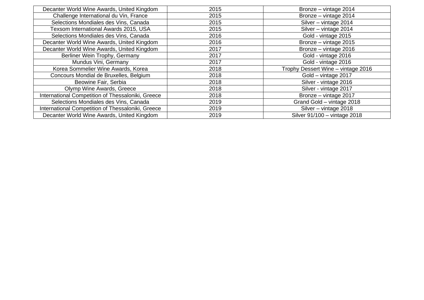| Decanter World Wine Awards, United Kingdom        | 2015 | Bronze - vintage 2014              |
|---------------------------------------------------|------|------------------------------------|
| Challenge International du Vin, France            | 2015 | Bronze - vintage 2014              |
| Selections Mondiales des Vins, Canada             | 2015 | Silver - vintage 2014              |
| Texsom International Awards 2015, USA             | 2015 | Silver - vintage 2014              |
| Selections Mondiales des Vins, Canada             | 2016 | Gold - vintage 2015                |
| Decanter World Wine Awards, United Kingdom        | 2016 | Bronze - vintage 2015              |
| Decanter World Wine Awards, United Kingdom        | 2017 | Bronze - vintage 2016              |
| Berliner Wein Trophy, Germany                     | 2017 | Gold - vintage 2016                |
| Mundus Vini, Germany                              | 2017 | Gold - vintage 2016                |
| Korea Sommelier Wine Awards, Korea                | 2018 | Trophy Dessert Wine - vintage 2016 |
| Concours Mondial de Bruxelles, Belgium            | 2018 | Gold - vintage 2017                |
| Beowine Fair, Serbia                              | 2018 | Silver - vintage 2016              |
| Olymp Wine Awards, Greece                         | 2018 | Silver - vintage 2017              |
| International Competition of Thessaloniki, Greece | 2018 | Bronze - vintage 2017              |
| Selections Mondiales des Vins, Canada             | 2019 | Grand Gold - vintage 2018          |
| International Competition of Thessaloniki, Greece | 2019 | Silver - vintage 2018              |
| Decanter World Wine Awards, United Kingdom        | 2019 | Silver 91/100 - vintage 2018       |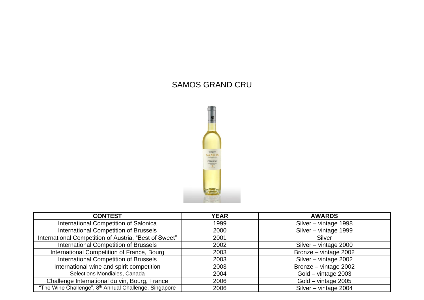#### SAMOS GRAND CRU



| <b>CONTEST</b>                                                    | <b>YEAR</b> | <b>AWARDS</b>         |
|-------------------------------------------------------------------|-------------|-----------------------|
| International Competition of Salonica                             | 1999        | Silver - vintage 1998 |
| <b>International Competition of Brussels</b>                      | 2000        | Silver - vintage 1999 |
| International Competition of Austria, "Best of Sweet"             | 2001        | Silver                |
| <b>International Competition of Brussels</b>                      | 2002        | Silver - vintage 2000 |
| International Competition of France, Bourg                        | 2003        | Bronze - vintage 2002 |
| <b>International Competition of Brussels</b>                      | 2003        | Silver - vintage 2002 |
| International wine and spirit competition                         | 2003        | Bronze - vintage 2002 |
| Selections Mondiales, Canada                                      | 2004        | Gold - vintage 2003   |
| Challenge International du vin, Bourg, France                     | 2006        | Gold - vintage 2005   |
| "The Wine Challenge", 8 <sup>th</sup> Annual Challenge, Singapore | 2006        | Silver - vintage 2004 |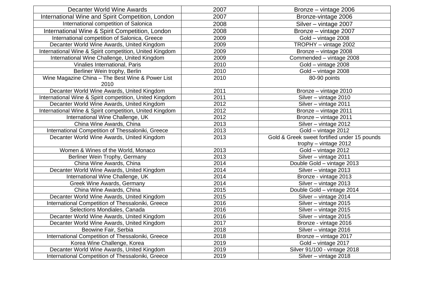| <b>Decanter World Wine Awards</b>                                                               | 2007         | Bronze - vintage 2006                        |
|-------------------------------------------------------------------------------------------------|--------------|----------------------------------------------|
| International Wine and Spirit Competition, London                                               | 2007         | Bronze-vintage 2006                          |
| International competition of Salonica                                                           | 2008         | Silver - vintage 2007                        |
| International Wine & Spirit Competition, London                                                 | 2008         | Bronze - vintage 2007                        |
| International competition of Salonica, Greece                                                   | 2009         | Gold - vintage 2008                          |
| Decanter World Wine Awards, United Kingdom                                                      | 2009         | TROPHY - vintage 2002                        |
| International Wine & Spirit competition, United Kingdom                                         | 2009         | Bronze - vintage 2008                        |
| International Wine Challenge, United Kingdom                                                    | 2009         | Commended - vintage 2008                     |
| Vinalies International, Paris                                                                   | 2010         | Gold - vintage 2008                          |
| Berliner Wein trophy, Berlin                                                                    | 2010         | Gold - vintage 2008                          |
| Wine Magazine China - The Best Wine & Power List                                                | 2010         | 80-90 points                                 |
| 2010                                                                                            |              |                                              |
| Decanter World Wine Awards, United Kingdom                                                      | 2011         | Bronze - vintage 2010                        |
| International Wine & Spirit competition, United Kingdom                                         | 2011         | Silver - vintage 2010                        |
| Decanter World Wine Awards, United Kingdom                                                      | 2012         | Silver - vintage 2011                        |
| International Wine & Spirit competition, United Kingdom                                         | 2012         | Bronze - vintage 2011                        |
| International Wine Challenge, UK                                                                | 2012         | Bronze - vintage 2011                        |
| China Wine Awards, China                                                                        | 2013         | Silver - vintage 2012                        |
| International Competition of Thessaloniki, Greece                                               | 2013         | Gold - vintage 2012                          |
| Decanter World Wine Awards, United Kingdom                                                      | 2013         | Gold & Greek sweet fortified under 15 pounds |
|                                                                                                 |              |                                              |
|                                                                                                 |              | trophy $-$ vintage 2012                      |
| Women & Wines of the World, Monaco                                                              | 2013         | Gold - vintage 2012                          |
| Berliner Wein Trophy, Germany                                                                   | 2013         | Silver - vintage 2011                        |
| China Wine Awards, China                                                                        | 2014         | Double Gold - vintage 2013                   |
| Decanter World Wine Awards, United Kingdom                                                      | 2014         | Silver - vintage 2013                        |
| International Wine Challenge, UK                                                                | 2014         | Bronze - vintage 2013                        |
| Greek Wine Awards, Germany                                                                      | 2014         | Silver - vintage 2013                        |
| China Wine Awards, China                                                                        | 2015         | Double Gold - vintage 2014                   |
| Decanter World Wine Awards, United Kingdom                                                      | 2015         | Silver - vintage 2014                        |
| International Competition of Thessaloniki, Greece                                               | 2016         | Silver - vintage 2015                        |
| Selections Mondiales, Canada                                                                    | 2016         | Silver - vintage 2015                        |
| Decanter World Wine Awards, United Kingdom                                                      | 2016         | Silver - vintage 2015                        |
| Decanter World Wine Awards, United Kingdom                                                      | 2017         | Bronze - vintage 2016                        |
| Beowine Fair, Serbia                                                                            | 2018         | Silver - vintage 2016                        |
| International Competition of Thessaloniki, Greece                                               | 2018         | Bronze - vintage 2017                        |
| Korea Wine Challenge, Korea                                                                     | 2019         | Gold - vintage 2017                          |
| Decanter World Wine Awards, United Kingdom<br>International Competition of Thessaloniki, Greece | 2019<br>2019 | Silver 91/100 - vintage 2018                 |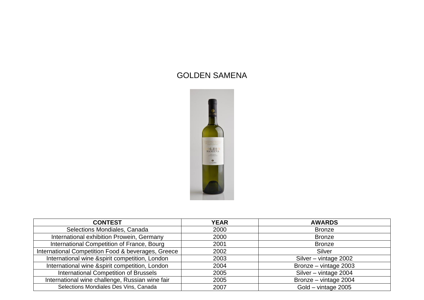#### GOLDEN SAMENA



| <b>CONTEST</b>                                     | <b>YEAR</b> | <b>AWARDS</b>         |
|----------------------------------------------------|-------------|-----------------------|
| Selections Mondiales, Canada                       | 2000        | <b>Bronze</b>         |
| International exhibition Prowein, Germany          | 2000        | <b>Bronze</b>         |
| International Competition of France, Bourg         | 2001        | <b>Bronze</b>         |
| International Competition Food & beverages, Greece | 2002        | Silver                |
| International wine &spirit competition, London     | 2003        | Silver - vintage 2002 |
| International wine &spirit competition, London     | 2004        | Bronze - vintage 2003 |
| <b>International Competition of Brussels</b>       | 2005        | Silver - vintage 2004 |
| International wine challenge, Russian wine fair    | 2005        | Bronze - vintage 2004 |
| Selections Mondiales Des Vins, Canada              | 2007        | Gold - vintage 2005   |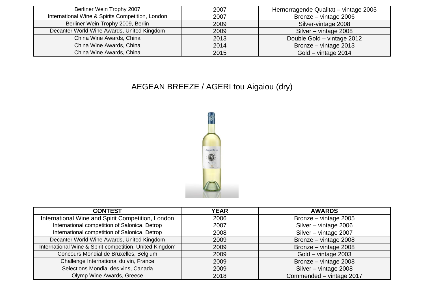| Berliner Wein Trophy 2007                        | 2007 | Hernorragende Qualitat - vintage 2005 |
|--------------------------------------------------|------|---------------------------------------|
| International Wine & Spirits Competition, London | 2007 | Bronze - vintage 2006                 |
| Berliner Wein Trophy 2009, Berlin                | 2009 | Silver-vintage 2008                   |
| Decanter World Wine Awards, United Kingdom       | 2009 | Silver - vintage 2008                 |
| China Wine Awards, China                         | 2013 | Double Gold - vintage 2012            |
| China Wine Awards, China                         | 2014 | Bronze - vintage 2013                 |
| China Wine Awards, China                         | 2015 | Gold - vintage 2014                   |

# AEGEAN BREEZE / AGERI tou Aigaiou (dry)



| <b>CONTEST</b>                                          | YEAR | <b>AWARDS</b>            |
|---------------------------------------------------------|------|--------------------------|
| International Wine and Spirit Competition, London       | 2006 | Bronze – vintage 2005    |
| International competition of Salonica, Detrop           | 2007 | Silver - vintage 2006    |
| International competition of Salonica, Detrop           | 2008 | Silver - vintage 2007    |
| Decanter World Wine Awards, United Kingdom              | 2009 | Bronze - vintage 2008    |
| International Wine & Spirit competition, United Kingdom | 2009 | Bronze - vintage 2008    |
| Concours Mondial de Bruxelles, Belgium                  | 2009 | Gold - vintage 2003      |
| Challenge International du vin, France                  | 2009 | Bronze - vintage 2008    |
| Selections Mondial des vins, Canada                     | 2009 | Silver - vintage 2008    |
| Olymp Wine Awards, Greece                               | 2018 | Commended - vintage 2017 |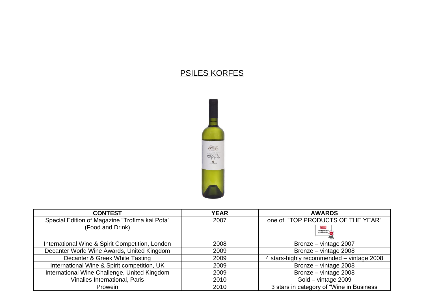### PSILES KORFES



| <b>CONTEST</b>                                  | <b>YEAR</b> | <b>AWARDS</b>                                 |
|-------------------------------------------------|-------------|-----------------------------------------------|
| Special Edition of Magazine "Trofima kai Pota"  | 2007        | one of "TOP PRODUCTS OF THE YEAR"             |
| (Food and Drink)                                |             | <b>TEOVINA</b><br>Τορ Προϊόντα<br>της Χρονιάς |
| International Wine & Spirit Competition, London | 2008        | Bronze - vintage 2007                         |
| Decanter World Wine Awards, United Kingdom      | 2009        | Bronze - vintage 2008                         |
| Decanter & Greek White Tasting                  | 2009        | 4 stars-highly recommended - vintage 2008     |
| International Wine & Spirit competition, UK     | 2009        | Bronze - vintage 2008                         |
| International Wine Challenge, United Kingdom    | 2009        | Bronze - vintage 2008                         |
| <b>Vinalies International, Paris</b>            | 2010        | Gold - vintage 2009                           |
| Prowein                                         | 2010        | 3 stars in category of "Wine in Business"     |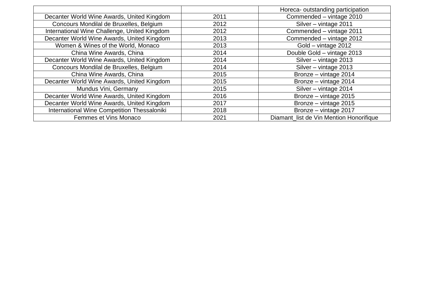|                                              |      | Horeca- outstanding participation       |
|----------------------------------------------|------|-----------------------------------------|
| Decanter World Wine Awards, United Kingdom   | 2011 | Commended - vintage 2010                |
| Concours Mondilal de Bruxelles, Belgium      | 2012 | Silver - vintage 2011                   |
| International Wine Challenge, United Kingdom | 2012 | Commended - vintage 2011                |
| Decanter World Wine Awards, United Kingdom   | 2013 | Commended - vintage 2012                |
| Women & Wines of the World, Monaco           | 2013 | Gold - vintage 2012                     |
| China Wine Awards, China                     | 2014 | Double Gold - vintage 2013              |
| Decanter World Wine Awards, United Kingdom   | 2014 | Silver - vintage 2013                   |
| Concours Mondilal de Bruxelles, Belgium      | 2014 | Silver - vintage 2013                   |
| China Wine Awards, China                     | 2015 | Bronze - vintage 2014                   |
| Decanter World Wine Awards, United Kingdom   | 2015 | Bronze - vintage 2014                   |
| Mundus Vini, Germany                         | 2015 | Silver - vintage 2014                   |
| Decanter World Wine Awards, United Kingdom   | 2016 | Bronze - vintage 2015                   |
| Decanter World Wine Awards, United Kingdom   | 2017 | Bronze - vintage 2015                   |
| International Wine Competition Thessaloniki  | 2018 | Bronze - vintage 2017                   |
| Femmes et Vins Monaco                        | 2021 | Diamant list de Vin Mention Honorifique |